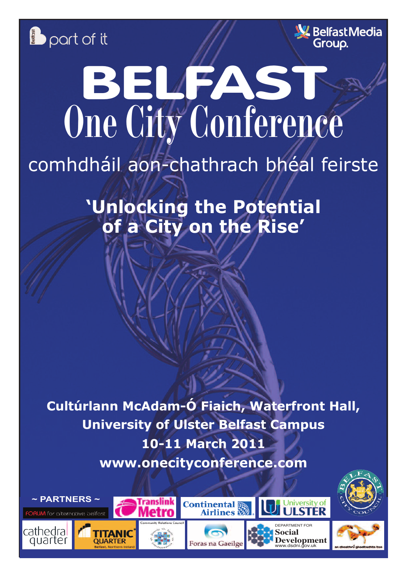



# **B** port of it<br>
BELFAST **One City Conference**

### comhdháil aon-chathrach bhéal feirste

**'Unlocking the Potential of a City on the Rise'**

**Cultúrlann McAdam-Ó Fiaich, Waterfront Hall, University of Ulster Belfast Campus 10-11 March 2011 www.onecityconference.com**

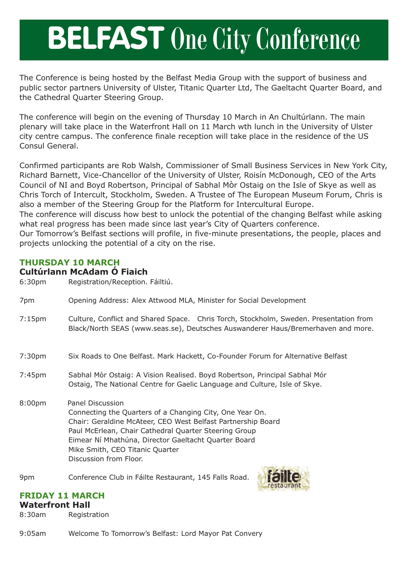## **BELFAST One City Conference**

The Conference is being hosted by the Belfast Media Group with the support of business and public sector partners University of Ulster, Titanic Quarter Ltd, The Gaeltacht Quarter Board, and the Cathedral Quarter Steering Group.

The conference will begin on the evening of Thursday 10 March in An Chultúrlann. The main plenary will take place in the Waterfront Hall on 11 March wth lunch in the University of Ulster city centre campus. The conference finale reception will take place in the residence of the US Consul General.

Confirmed participants are Rob Walsh, Commissioner of Small Business Services in New York City, Richard Barnett, Vice-Chancellor of the University of Ulster, Roisín McDonough, CEO of the Arts Council of NI and Boyd Robertson, Principal of Sabhal Mòr Ostaig on the Isle of Skye as well as Chris Torch of Intercult, Stockholm, Sweden. A Trustee of The European Museum Forum, Chris is also a member of the Steering Group for the Platform for Intercultural Europe.

The conference will discuss how best to unlock the potential of the changing Belfast while asking what real progress has been made since last year's City of Quarters conference.

Our Tomorrow's Belfast sections will profile, in five-minute presentations, the people, places and projects unlocking the potential of a city on the rise.

### **THURSDAY 10 MARCH**

### **Cultúrlann McAdam Ó Fiaich**

6:30pm Registration/Reception. Fáiltiú.

- 7pm Opening Address: Alex Attwood MLA, Minister for Social Development
- 7:15pm Culture, Conflict and Shared Space. Chris Torch, Stockholm, Sweden. Presentation from Black/North SEAS (www.seas.se), Deutsches Auswanderer Haus/Bremerhaven and more.
- 7:30pm Six Roads to One Belfast. Mark Hackett, Co-Founder Forum for Alternative Belfast
- 7:45pm Sabhal Mòr Ostaig: A Vision Realised. Boyd Robertson, Principal Sabhal Mór Ostaig, The National Centre for Gaelic Language and Culture, Isle of Skye.
- 8:00pm Panel Discussion Connecting the Quarters of a Changing City, One Year On. Chair: Geraldine McAteer, CEO West Belfast Partnership Board Paul McErlean, Chair Cathedral Quarter Steering Group Eimear Ní Mhathúna, Director Gaeltacht Quarter Board Mike Smith, CEO Titanic Quarter Discussion from Floor.

9pm Conference Club in Fáilte Restaurant, 145 Falls Road.



### **FRIDAY 11 MARCH**

#### **Waterfront Hall**

8:30am Registration

9:05am Welcome To Tomorrow's Belfast: Lord Mayor Pat Convery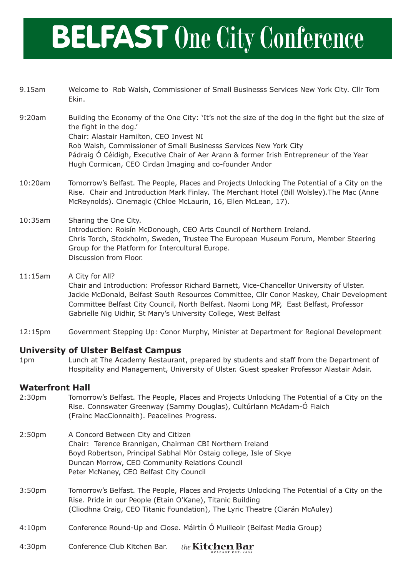### **BELFAST One City Conference**

| 9.15am     | Welcome to Rob Walsh, Commissioner of Small Businesss Services New York City. Cllr Tom<br>Ekin.                                                                                                                                                                                                                                                                                                 |
|------------|-------------------------------------------------------------------------------------------------------------------------------------------------------------------------------------------------------------------------------------------------------------------------------------------------------------------------------------------------------------------------------------------------|
| 9:20am     | Building the Economy of the One City: 'It's not the size of the dog in the fight but the size of<br>the fight in the dog.'<br>Chair: Alastair Hamilton, CEO Invest NI<br>Rob Walsh, Commissioner of Small Businesss Services New York City<br>Pádraig Ó Céidigh, Executive Chair of Aer Arann & former Irish Entrepreneur of the Year<br>Hugh Cormican, CEO Cirdan Imaging and co-founder Andor |
| 10:20am    | Tomorrow's Belfast. The People, Places and Projects Unlocking The Potential of a City on the<br>Rise. Chair and Introduction Mark Finlay. The Merchant Hotel (Bill Wolsley). The Mac (Anne<br>McReynolds). Cinemagic (Chloe McLaurin, 16, Ellen McLean, 17).                                                                                                                                    |
| $10:35$ am | Sharing the One City.<br>Introduction: Roisín McDonough, CEO Arts Council of Northern Ireland.<br>Chris Torch, Stockholm, Sweden, Trustee The European Museum Forum, Member Steering                                                                                                                                                                                                            |

- 11:15am A City for All? Chair and Introduction: Professor Richard Barnett, Vice-Chancellor University of Ulster. Jackie McDonald, Belfast South Resources Committee, Cllr Conor Maskey, Chair Development Committee Belfast City Council, North Belfast. Naomi Long MP, East Belfast, Professor Gabrielle Nig Uidhir, St Mary's University College, West Belfast
- 12:15pm Government Stepping Up: Conor Murphy, Minister at Department for Regional Development

### **University of Ulster Belfast Campus**

Discussion from Floor.

1pm Lunch at The Academy Restaurant, prepared by students and staff from the Department of Hospitality and Management, University of Ulster. Guest speaker Professor Alastair Adair.

### **Waterfront Hall**

- 2:30pm Tomorrow's Belfast. The People, Places and Projects Unlocking The Potential of a City on the Rise. Connswater Greenway (Sammy Douglas), Cultúrlann McAdam-Ó Fiaich (Frainc MacCionnaith). Peacelines Progress.
- 2:50pm A Concord Between City and Citizen Chair: Terence Brannigan, Chairman CBI Northern Ireland Boyd Robertson, Principal Sabhal Mòr Ostaig college, Isle of Skye Duncan Morrow, CEO Community Relations Council Peter McNaney, CEO Belfast City Council

Group for the Platform for Intercultural Europe.

- 3:50pm Tomorrow's Belfast. The People, Places and Projects Unlocking The Potential of a City on the Rise. Pride in our People (Etain O'Kane), Titanic Building (Cliodhna Craig, CEO Titanic Foundation), The Lyric Theatre (Ciarán McAuley)
- 4:10pm Conference Round-Up and Close. Máirtín Ó Muilleoir (Belfast Media Group)
- 4:30pm Conference Club Kitchen Bar. the **Kitchen Bar**